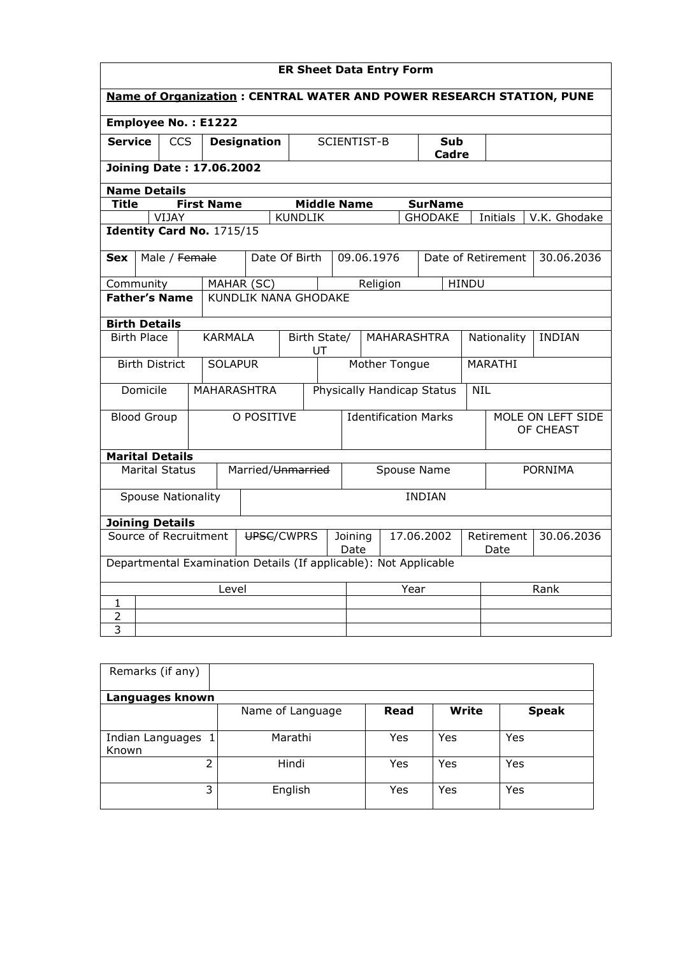|                                     | <b>ER Sheet Data Entry Form</b>                                      |       |               |                                                                  |                    |                |                                                    |                    |  |                    |                                |              |                    |              |  |
|-------------------------------------|----------------------------------------------------------------------|-------|---------------|------------------------------------------------------------------|--------------------|----------------|----------------------------------------------------|--------------------|--|--------------------|--------------------------------|--------------|--------------------|--------------|--|
|                                     | Name of Organization: CENTRAL WATER AND POWER RESEARCH STATION, PUNE |       |               |                                                                  |                    |                |                                                    |                    |  |                    |                                |              |                    |              |  |
|                                     |                                                                      |       |               | <b>Employee No.: E1222</b>                                       |                    |                |                                                    |                    |  |                    |                                |              |                    |              |  |
| <b>Service</b>                      |                                                                      |       | <b>CCS</b>    |                                                                  | <b>Designation</b> |                |                                                    | <b>SCIENTIST-B</b> |  |                    | Sub<br>Cadre                   |              |                    |              |  |
|                                     |                                                                      |       |               | <b>Joining Date: 17.06.2002</b>                                  |                    |                |                                                    |                    |  |                    |                                |              |                    |              |  |
| <b>Name Details</b>                 |                                                                      |       |               |                                                                  |                    |                |                                                    |                    |  |                    |                                |              |                    |              |  |
| Title                               |                                                                      |       |               | <b>First Name</b>                                                |                    |                |                                                    | <b>Middle Name</b> |  |                    | <b>SurName</b>                 |              |                    |              |  |
|                                     |                                                                      | VIJAY |               |                                                                  |                    | <b>KUNDLIK</b> |                                                    |                    |  |                    | <b>GHODAKE</b>                 |              | Initials           | V.K. Ghodake |  |
|                                     |                                                                      |       |               | Identity Card No. 1715/15                                        |                    |                |                                                    |                    |  |                    |                                |              |                    |              |  |
| <b>Sex</b>                          |                                                                      |       | Male / Female |                                                                  | Date Of Birth      |                |                                                    | 09.06.1976         |  |                    |                                |              | Date of Retirement | 30.06.2036   |  |
| Community                           |                                                                      |       |               | MAHAR (SC)                                                       |                    |                |                                                    |                    |  | Religion           |                                | <b>HINDU</b> |                    |              |  |
| <b>Father's Name</b>                |                                                                      |       |               | <b>KUNDLIK NANA GHODAKE</b>                                      |                    |                |                                                    |                    |  |                    |                                |              |                    |              |  |
| <b>Birth Details</b>                |                                                                      |       |               |                                                                  |                    |                |                                                    |                    |  |                    |                                |              |                    |              |  |
|                                     | <b>Birth Place</b>                                                   |       |               | <b>KARMALA</b>                                                   |                    |                | Birth State/<br><b>MAHARASHTRA</b><br>UT           |                    |  |                    | Nationality                    |              | <b>INDIAN</b>      |              |  |
|                                     | <b>Birth District</b>                                                |       |               | <b>SOLAPUR</b>                                                   |                    |                | Mother Tongue                                      |                    |  |                    | <b>MARATHI</b>                 |              |                    |              |  |
|                                     | Domicile                                                             |       |               | <b>MAHARASHTRA</b>                                               |                    |                |                                                    |                    |  |                    | Physically Handicap Status     | <b>NIL</b>   |                    |              |  |
|                                     | <b>Blood Group</b>                                                   |       |               |                                                                  | O POSITIVE         |                | <b>Identification Marks</b>                        |                    |  |                    | MOLE ON LEFT SIDE<br>OF CHEAST |              |                    |              |  |
| <b>Marital Details</b>              |                                                                      |       |               |                                                                  |                    |                |                                                    |                    |  |                    |                                |              |                    |              |  |
|                                     | <b>Marital Status</b>                                                |       |               |                                                                  |                    |                | Married/Unmarried<br>Spouse Name<br><b>PORNIMA</b> |                    |  |                    |                                |              |                    |              |  |
|                                     | <b>Spouse Nationality</b>                                            |       |               |                                                                  |                    |                |                                                    |                    |  |                    | <b>INDIAN</b>                  |              |                    |              |  |
| <b>Joining Details</b>              |                                                                      |       |               |                                                                  |                    |                |                                                    |                    |  |                    |                                |              |                    |              |  |
| Source of Recruitment<br>UPSC/CWPRS |                                                                      |       |               |                                                                  | Joining<br>Date    |                |                                                    | 17.06.2002         |  | Retirement<br>Date | 30.06.2036                     |              |                    |              |  |
|                                     |                                                                      |       |               | Departmental Examination Details (If applicable): Not Applicable |                    |                |                                                    |                    |  |                    |                                |              |                    |              |  |
|                                     |                                                                      |       |               | Level                                                            |                    |                |                                                    |                    |  | Year               |                                |              | Rank               |              |  |
| $\mathbf{1}$                        |                                                                      |       |               |                                                                  |                    |                |                                                    |                    |  |                    |                                |              |                    |              |  |
| $\overline{2}$                      |                                                                      |       |               |                                                                  |                    |                |                                                    |                    |  |                    |                                |              |                    |              |  |
| 3                                   |                                                                      |       |               |                                                                  |                    |                |                                                    |                    |  |                    |                                |              |                    |              |  |

| Remarks (if any)          |                  |      |              |              |
|---------------------------|------------------|------|--------------|--------------|
| Languages known           |                  |      |              |              |
|                           | Name of Language | Read | <b>Write</b> | <b>Speak</b> |
| Indian Languages<br>Known | Marathi          | Yes  | Yes          | Yes          |
| 2                         | Hindi            | Yes  | Yes          | Yes          |
| 3                         | English          | Yes  | Yes          | Yes          |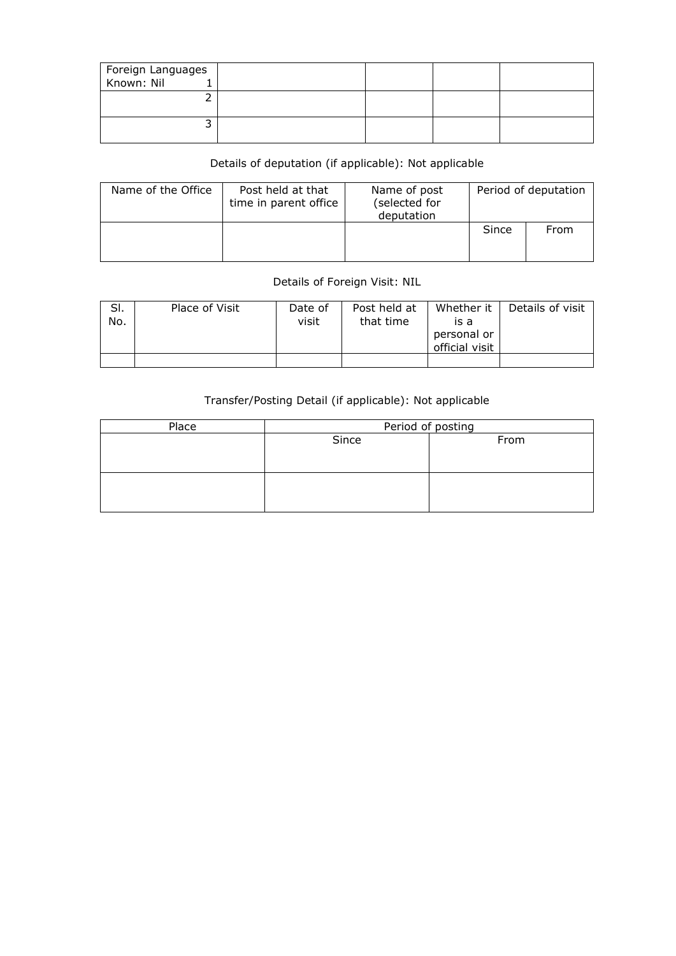| Foreign Languages<br>Known: Nil 1 |  |  |
|-----------------------------------|--|--|
|                                   |  |  |
|                                   |  |  |

## Details of deputation (if applicable): Not applicable

| Name of the Office | Post held at that<br>time in parent office | Name of post<br>(selected for<br>deputation | Period of deputation |      |  |
|--------------------|--------------------------------------------|---------------------------------------------|----------------------|------|--|
|                    |                                            |                                             | Since                | From |  |

## Details of Foreign Visit: NIL

| SI.<br>No. | Place of Visit | Date of<br>visit | Post held at<br>that time | Whether it<br>is a<br>personal or<br>official visit | Details of visit |
|------------|----------------|------------------|---------------------------|-----------------------------------------------------|------------------|
|            |                |                  |                           |                                                     |                  |

## Transfer/Posting Detail (if applicable): Not applicable

| Place | Period of posting |      |  |  |  |  |  |  |
|-------|-------------------|------|--|--|--|--|--|--|
|       | Since             | From |  |  |  |  |  |  |
|       |                   |      |  |  |  |  |  |  |
|       |                   |      |  |  |  |  |  |  |
|       |                   |      |  |  |  |  |  |  |
|       |                   |      |  |  |  |  |  |  |
|       |                   |      |  |  |  |  |  |  |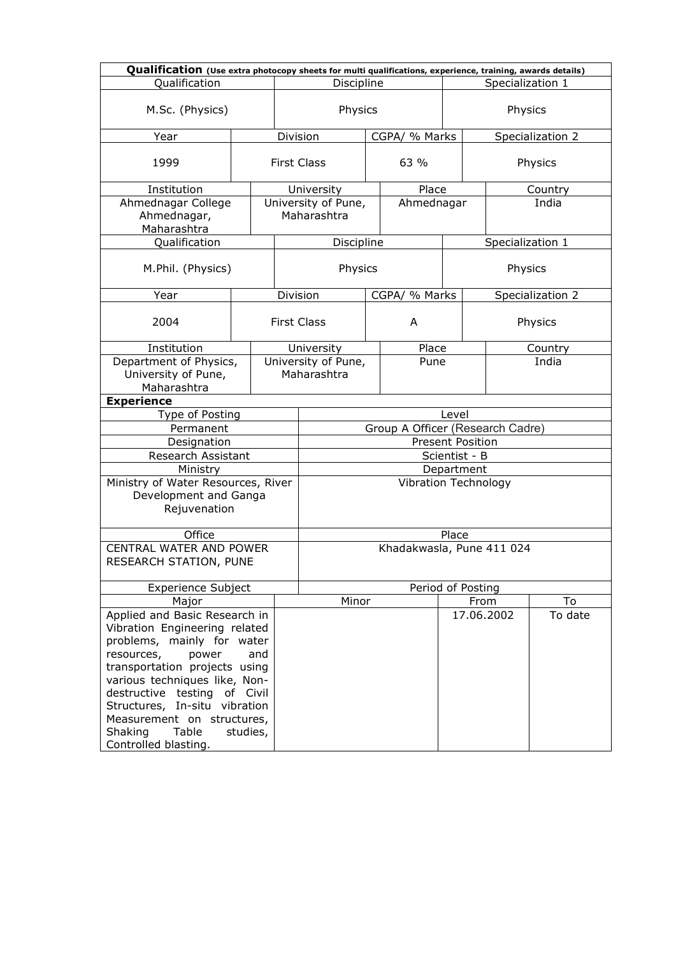| Qualification (Use extra photocopy sheets for multi qualifications, experience, training, awards details)                                                                                                                                                                                                                        |                                |          |                                    |                             |                           |       |         |                  |                  |  |
|----------------------------------------------------------------------------------------------------------------------------------------------------------------------------------------------------------------------------------------------------------------------------------------------------------------------------------|--------------------------------|----------|------------------------------------|-----------------------------|---------------------------|-------|---------|------------------|------------------|--|
| Qualification                                                                                                                                                                                                                                                                                                                    | Discipline<br>Specialization 1 |          |                                    |                             |                           |       |         |                  |                  |  |
| M.Sc. (Physics)                                                                                                                                                                                                                                                                                                                  |                                |          | Physics                            |                             |                           |       | Physics |                  |                  |  |
| Year                                                                                                                                                                                                                                                                                                                             |                                | Division |                                    |                             | CGPA/ % Marks             |       |         |                  | Specialization 2 |  |
| 1999                                                                                                                                                                                                                                                                                                                             |                                |          | <b>First Class</b>                 | 63 %                        |                           |       |         |                  | Physics          |  |
| Institution                                                                                                                                                                                                                                                                                                                      |                                |          | University                         |                             | Place                     |       |         |                  | Country          |  |
| Ahmednagar College<br>Ahmednagar,<br>Maharashtra                                                                                                                                                                                                                                                                                 |                                |          | University of Pune,<br>Maharashtra |                             | Ahmednagar                |       |         |                  | India            |  |
| Qualification                                                                                                                                                                                                                                                                                                                    |                                |          | Discipline                         |                             |                           |       |         | Specialization 1 |                  |  |
| M.Phil. (Physics)                                                                                                                                                                                                                                                                                                                |                                |          | Physics                            |                             |                           |       |         | Physics          |                  |  |
| Year                                                                                                                                                                                                                                                                                                                             |                                | Division |                                    |                             | CGPA/ % Marks             |       |         |                  | Specialization 2 |  |
| 2004                                                                                                                                                                                                                                                                                                                             |                                |          | <b>First Class</b>                 |                             | A                         |       |         |                  | Physics          |  |
| Institution                                                                                                                                                                                                                                                                                                                      |                                |          | University                         |                             | Place                     |       |         |                  | Country          |  |
| Department of Physics,<br>University of Pune,<br>Maharashtra                                                                                                                                                                                                                                                                     |                                |          | Maharashtra                        | University of Pune,<br>Pune |                           |       | India   |                  |                  |  |
| <b>Experience</b>                                                                                                                                                                                                                                                                                                                |                                |          |                                    |                             |                           |       |         |                  |                  |  |
| Type of Posting                                                                                                                                                                                                                                                                                                                  |                                |          |                                    |                             |                           | Level |         |                  |                  |  |
| Permanent                                                                                                                                                                                                                                                                                                                        |                                |          | Group A Officer (Research Cadre)   |                             |                           |       |         |                  |                  |  |
| Designation                                                                                                                                                                                                                                                                                                                      |                                |          |                                    |                             | <b>Present Position</b>   |       |         |                  |                  |  |
| Research Assistant                                                                                                                                                                                                                                                                                                               |                                |          | Scientist - B                      |                             |                           |       |         |                  |                  |  |
| Ministry                                                                                                                                                                                                                                                                                                                         |                                |          | Department                         |                             |                           |       |         |                  |                  |  |
| Ministry of Water Resources, River<br>Development and Ganga<br>Rejuvenation                                                                                                                                                                                                                                                      |                                |          | <b>Vibration Technology</b>        |                             |                           |       |         |                  |                  |  |
| Office                                                                                                                                                                                                                                                                                                                           |                                |          | Place                              |                             |                           |       |         |                  |                  |  |
| <b>CENTRAL WATER AND POWER</b><br>RESEARCH STATION, PUNE                                                                                                                                                                                                                                                                         |                                |          |                                    |                             | Khadakwasla, Pune 411 024 |       |         |                  |                  |  |
| <b>Experience Subject</b>                                                                                                                                                                                                                                                                                                        |                                |          |                                    |                             | Period of Posting         |       |         |                  |                  |  |
| Major                                                                                                                                                                                                                                                                                                                            |                                |          | Minor                              |                             |                           |       | From    |                  | To               |  |
| Applied and Basic Research in<br>Vibration Engineering related<br>problems, mainly for water<br>resources,<br>power<br>transportation projects using<br>various techniques like, Non-<br>destructive testing of Civil<br>Structures, In-situ vibration<br>Measurement on structures,<br>Table<br>Shaking<br>Controlled blasting. | and<br>studies,                |          |                                    |                             |                           |       |         | 17.06.2002       | To date          |  |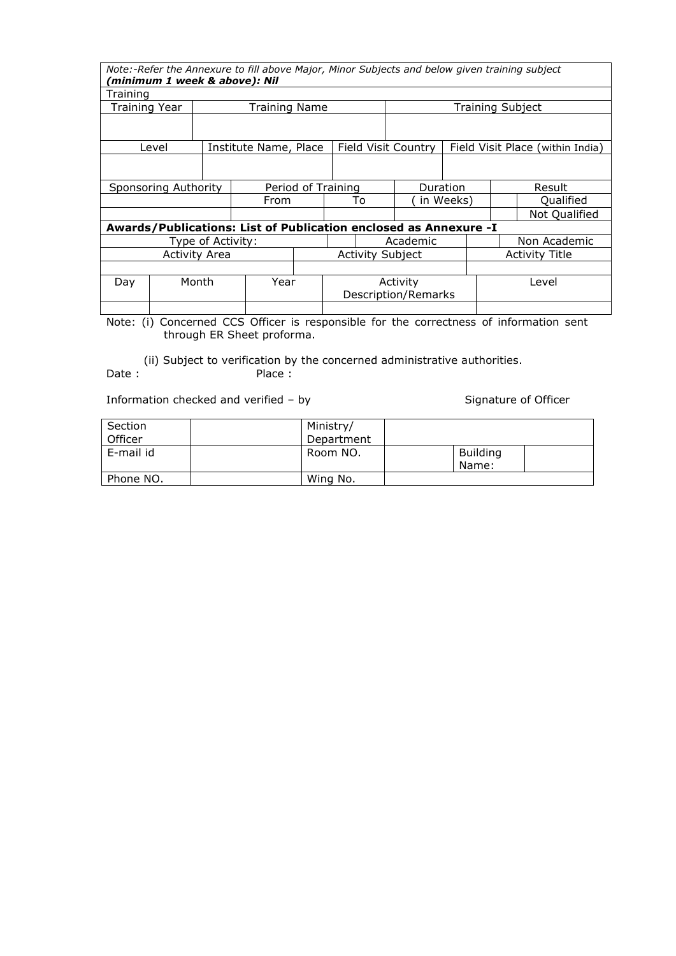|                      | (minimum 1 week & above): Nil |  | Note:-Refer the Annexure to fill above Major, Minor Subjects and below given training subject |                         |                     |    |                     |                |                         |  |                                  |
|----------------------|-------------------------------|--|-----------------------------------------------------------------------------------------------|-------------------------|---------------------|----|---------------------|----------------|-------------------------|--|----------------------------------|
| Training             |                               |  |                                                                                               |                         |                     |    |                     |                |                         |  |                                  |
| <b>Training Year</b> |                               |  | <b>Training Name</b>                                                                          |                         |                     |    |                     |                | <b>Training Subject</b> |  |                                  |
|                      |                               |  |                                                                                               |                         |                     |    |                     |                |                         |  |                                  |
|                      | Level                         |  | Institute Name, Place                                                                         |                         |                     |    | Field Visit Country |                |                         |  | Field Visit Place (within India) |
|                      |                               |  |                                                                                               |                         |                     |    |                     |                |                         |  |                                  |
|                      | Sponsoring Authority          |  |                                                                                               | Period of Training      |                     |    | Duration            |                | Result                  |  |                                  |
|                      |                               |  | From                                                                                          |                         |                     | To |                     | in Weeks)      |                         |  | Qualified                        |
|                      |                               |  |                                                                                               |                         |                     |    |                     |                |                         |  | Not Qualified                    |
|                      |                               |  | Awards/Publications: List of Publication enclosed as Annexure -I                              |                         |                     |    |                     |                |                         |  |                                  |
|                      | Type of Activity:             |  |                                                                                               |                         |                     |    | Academic            |                |                         |  | Non Academic                     |
| Activity Area        |                               |  |                                                                                               | <b>Activity Subject</b> |                     |    |                     | Activity Title |                         |  |                                  |
|                      |                               |  |                                                                                               |                         |                     |    |                     |                |                         |  |                                  |
| Day                  | Month<br>Year                 |  |                                                                                               | Activity                |                     |    |                     | Level          |                         |  |                                  |
|                      |                               |  |                                                                                               |                         | Description/Remarks |    |                     |                |                         |  |                                  |
|                      |                               |  |                                                                                               |                         |                     |    |                     |                |                         |  |                                  |

Note: (i) Concerned CCS Officer is responsible for the correctness of information sent through ER Sheet proforma.

(ii) Subject to verification by the concerned administrative authorities.<br>Date: Place: Place:

Information checked and verified – by Signature of Officer

| Section   | Ministry/  |                          |  |
|-----------|------------|--------------------------|--|
| Officer   | Department |                          |  |
| E-mail id | Room NO.   | <b>Building</b><br>Name: |  |
| Phone NO. | Wing No.   |                          |  |